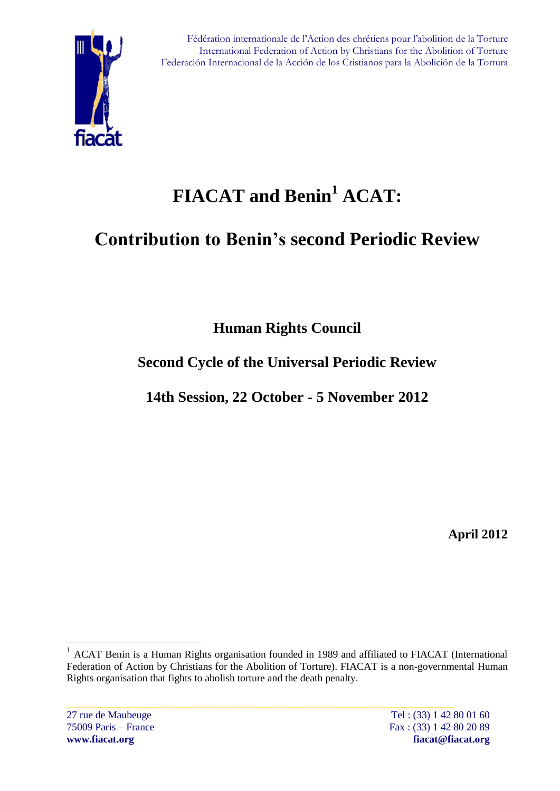

# **FIACAT and Benin<sup>1</sup> ACAT:**

# **Contribution to Benin's second Periodic Review**

**Human Rights Council**

## **Second Cycle of the Universal Periodic Review**

**14th Session, 22 October - 5 November 2012**

**April 2012**

 $\overline{a}$ 

<sup>&</sup>lt;sup>1</sup> ACAT Benin is a Human Rights organisation founded in 1989 and affiliated to FIACAT (International Federation of Action by Christians for the Abolition of Torture). FIACAT is a non-governmental Human Rights organisation that fights to abolish torture and the death penalty.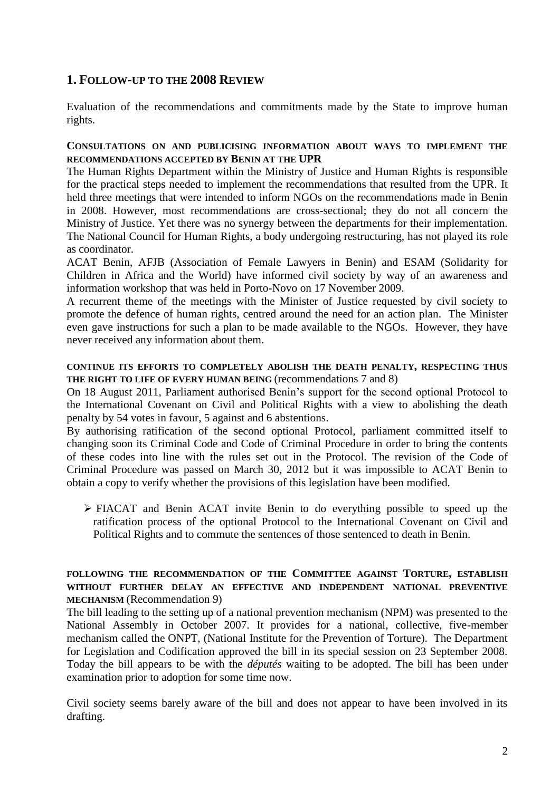### **1. FOLLOW-UP TO THE 2008 REVIEW**

Evaluation of the recommendations and commitments made by the State to improve human rights.

#### **CONSULTATIONS ON AND PUBLICISING INFORMATION ABOUT WAYS TO IMPLEMENT THE RECOMMENDATIONS ACCEPTED BY BENIN AT THE UPR**

The Human Rights Department within the Ministry of Justice and Human Rights is responsible for the practical steps needed to implement the recommendations that resulted from the UPR. It held three meetings that were intended to inform NGOs on the recommendations made in Benin in 2008. However, most recommendations are cross-sectional; they do not all concern the Ministry of Justice. Yet there was no synergy between the departments for their implementation. The National Council for Human Rights, a body undergoing restructuring, has not played its role as coordinator.

ACAT Benin, AFJB (Association of Female Lawyers in Benin) and ESAM (Solidarity for Children in Africa and the World) have informed civil society by way of an awareness and information workshop that was held in Porto-Novo on 17 November 2009.

A recurrent theme of the meetings with the Minister of Justice requested by civil society to promote the defence of human rights, centred around the need for an action plan. The Minister even gave instructions for such a plan to be made available to the NGOs. However, they have never received any information about them.

#### **CONTINUE ITS EFFORTS TO COMPLETELY ABOLISH THE DEATH PENALTY, RESPECTING THUS THE RIGHT TO LIFE OF EVERY HUMAN BEING** (recommendations 7 and 8)

On 18 August 2011, Parliament authorised Benin's support for the second optional Protocol to the International Covenant on Civil and Political Rights with a view to abolishing the death penalty by 54 votes in favour, 5 against and 6 abstentions.

By authorising ratification of the second optional Protocol, parliament committed itself to changing soon its Criminal Code and Code of Criminal Procedure in order to bring the contents of these codes into line with the rules set out in the Protocol. The revision of the Code of Criminal Procedure was passed on March 30, 2012 but it was impossible to ACAT Benin to obtain a copy to verify whether the provisions of this legislation have been modified.

 FIACAT and Benin ACAT invite Benin to do everything possible to speed up the ratification process of the optional Protocol to the International Covenant on Civil and Political Rights and to commute the sentences of those sentenced to death in Benin.

#### **FOLLOWING THE RECOMMENDATION OF THE COMMITTEE AGAINST TORTURE, ESTABLISH WITHOUT FURTHER DELAY AN EFFECTIVE AND INDEPENDENT NATIONAL PREVENTIVE MECHANISM** (Recommendation 9)

The bill leading to the setting up of a national prevention mechanism (NPM) was presented to the National Assembly in October 2007. It provides for a national, collective, five-member mechanism called the ONPT, (National Institute for the Prevention of Torture). The Department for Legislation and Codification approved the bill in its special session on 23 September 2008. Today the bill appears to be with the *députés* waiting to be adopted. The bill has been under examination prior to adoption for some time now.

Civil society seems barely aware of the bill and does not appear to have been involved in its drafting.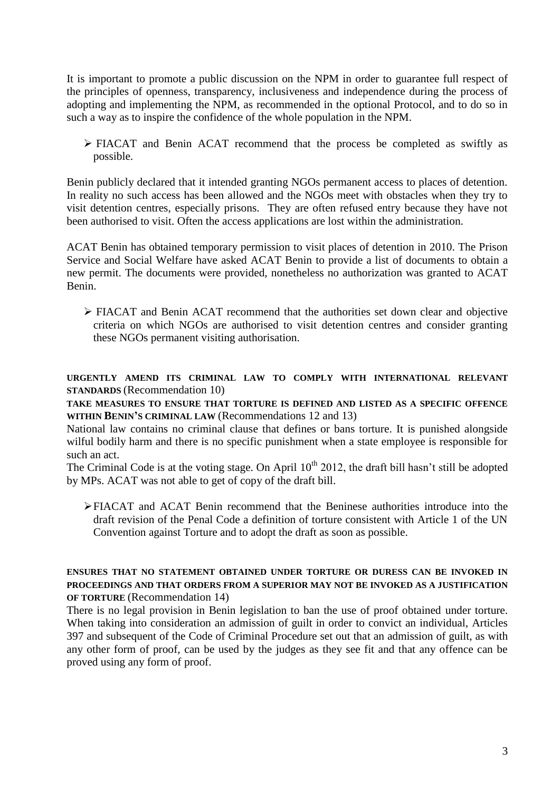It is important to promote a public discussion on the NPM in order to guarantee full respect of the principles of openness, transparency, inclusiveness and independence during the process of adopting and implementing the NPM, as recommended in the optional Protocol, and to do so in such a way as to inspire the confidence of the whole population in the NPM.

 FIACAT and Benin ACAT recommend that the process be completed as swiftly as possible.

Benin publicly declared that it intended granting NGOs permanent access to places of detention. In reality no such access has been allowed and the NGOs meet with obstacles when they try to visit detention centres, especially prisons. They are often refused entry because they have not been authorised to visit. Often the access applications are lost within the administration.

ACAT Benin has obtained temporary permission to visit places of detention in 2010. The Prison Service and Social Welfare have asked ACAT Benin to provide a list of documents to obtain a new permit. The documents were provided, nonetheless no authorization was granted to ACAT Benin.

 FIACAT and Benin ACAT recommend that the authorities set down clear and objective criteria on which NGOs are authorised to visit detention centres and consider granting these NGOs permanent visiting authorisation.

**URGENTLY AMEND ITS CRIMINAL LAW TO COMPLY WITH INTERNATIONAL RELEVANT STANDARDS** (Recommendation 10)

**TAKE MEASURES TO ENSURE THAT TORTURE IS DEFINED AND LISTED AS A SPECIFIC OFFENCE WITHIN BENIN'S CRIMINAL LAW** (Recommendations 12 and 13)

National law contains no criminal clause that defines or bans torture. It is punished alongside wilful bodily harm and there is no specific punishment when a state employee is responsible for such an act.

The Criminal Code is at the voting stage. On April 10<sup>th</sup> 2012, the draft bill hasn't still be adopted by MPs. ACAT was not able to get of copy of the draft bill.

 $\triangleright$  FIACAT and ACAT Benin recommend that the Beninese authorities introduce into the draft revision of the Penal Code a definition of torture consistent with Article 1 of the UN Convention against Torture and to adopt the draft as soon as possible.

#### **ENSURES THAT NO STATEMENT OBTAINED UNDER TORTURE OR DURESS CAN BE INVOKED IN PROCEEDINGS AND THAT ORDERS FROM A SUPERIOR MAY NOT BE INVOKED AS A JUSTIFICATION OF TORTURE** (Recommendation 14)

There is no legal provision in Benin legislation to ban the use of proof obtained under torture. When taking into consideration an admission of guilt in order to convict an individual, Articles 397 and subsequent of the Code of Criminal Procedure set out that an admission of guilt, as with any other form of proof, can be used by the judges as they see fit and that any offence can be proved using any form of proof.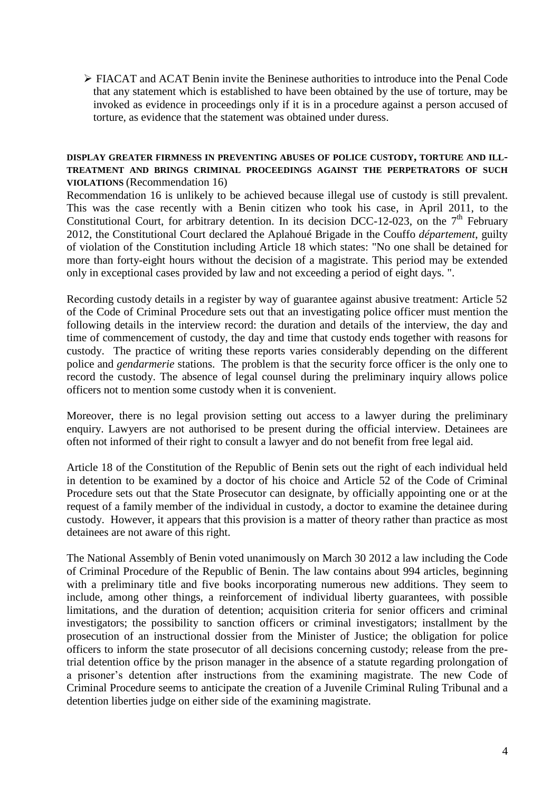$\triangleright$  FIACAT and ACAT Benin invite the Beninese authorities to introduce into the Penal Code that any statement which is established to have been obtained by the use of torture, may be invoked as evidence in proceedings only if it is in a procedure against a person accused of torture, as evidence that the statement was obtained under duress.

#### **DISPLAY GREATER FIRMNESS IN PREVENTING ABUSES OF POLICE CUSTODY, TORTURE AND ILL-TREATMENT AND BRINGS CRIMINAL PROCEEDINGS AGAINST THE PERPETRATORS OF SUCH VIOLATIONS** (Recommendation 16)

Recommendation 16 is unlikely to be achieved because illegal use of custody is still prevalent. This was the case recently with a Benin citizen who took his case, in April 2011, to the Constitutional Court, for arbitrary detention. In its decision DCC-12-023, on the  $7<sup>th</sup>$  February 2012, the Constitutional Court declared the Aplahoué Brigade in the Couffo *département*, guilty of violation of the Constitution including Article 18 which states: "No one shall be detained for more than forty-eight hours without the decision of a magistrate. This period may be extended only in exceptional cases provided by law and not exceeding a period of eight days. ".

Recording custody details in a register by way of guarantee against abusive treatment: Article 52 of the Code of Criminal Procedure sets out that an investigating police officer must mention the following details in the interview record: the duration and details of the interview, the day and time of commencement of custody, the day and time that custody ends together with reasons for custody. The practice of writing these reports varies considerably depending on the different police and *gendarmerie* stations. The problem is that the security force officer is the only one to record the custody. The absence of legal counsel during the preliminary inquiry allows police officers not to mention some custody when it is convenient.

Moreover, there is no legal provision setting out access to a lawyer during the preliminary enquiry. Lawyers are not authorised to be present during the official interview. Detainees are often not informed of their right to consult a lawyer and do not benefit from free legal aid.

Article 18 of the Constitution of the Republic of Benin sets out the right of each individual held in detention to be examined by a doctor of his choice and Article 52 of the Code of Criminal Procedure sets out that the State Prosecutor can designate, by officially appointing one or at the request of a family member of the individual in custody, a doctor to examine the detainee during custody. However, it appears that this provision is a matter of theory rather than practice as most detainees are not aware of this right.

The National Assembly of Benin voted unanimously on March 30 2012 a law including the Code of Criminal Procedure of the Republic of Benin. The law contains about 994 articles, beginning with a preliminary title and five books incorporating numerous new additions. They seem to include, among other things, a reinforcement of individual liberty guarantees, with possible limitations, and the duration of detention; acquisition criteria for senior officers and criminal investigators; the possibility to sanction officers or criminal investigators; installment by the prosecution of an instructional dossier from the Minister of Justice; the obligation for police officers to inform the state prosecutor of all decisions concerning custody; release from the pretrial detention office by the prison manager in the absence of a statute regarding prolongation of a prisoner's detention after instructions from the examining magistrate. The new Code of Criminal Procedure seems to anticipate the creation of a Juvenile Criminal Ruling Tribunal and a detention liberties judge on either side of the examining magistrate.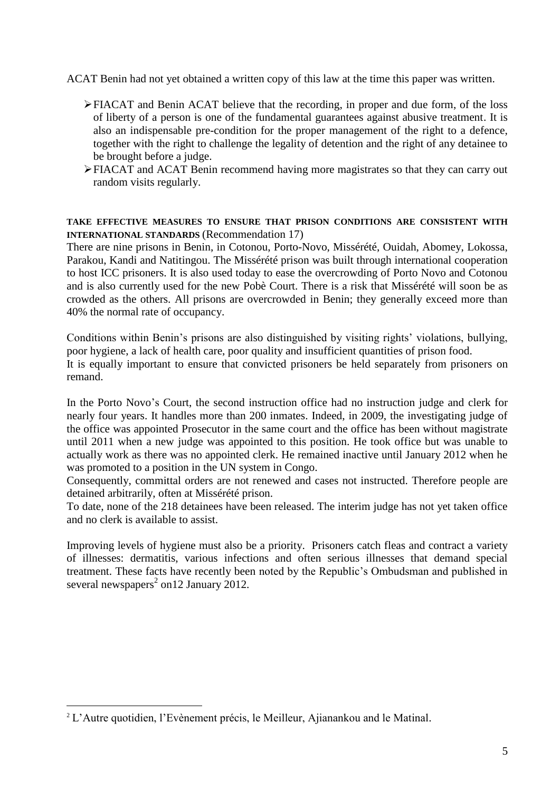ACAT Benin had not yet obtained a written copy of this law at the time this paper was written.

- FIACAT and Benin ACAT believe that the recording, in proper and due form, of the loss of liberty of a person is one of the fundamental guarantees against abusive treatment. It is also an indispensable pre-condition for the proper management of the right to a defence, together with the right to challenge the legality of detention and the right of any detainee to be brought before a judge.
- FIACAT and ACAT Benin recommend having more magistrates so that they can carry out random visits regularly.

#### **TAKE EFFECTIVE MEASURES TO ENSURE THAT PRISON CONDITIONS ARE CONSISTENT WITH INTERNATIONAL STANDARDS** (Recommendation 17)

There are nine prisons in Benin, in Cotonou, Porto-Novo, Missérété, Ouidah, Abomey, Lokossa, Parakou, Kandi and Natitingou. The Missérété prison was built through international cooperation to host ICC prisoners. It is also used today to ease the overcrowding of Porto Novo and Cotonou and is also currently used for the new Pobè Court. There is a risk that Missérété will soon be as crowded as the others. All prisons are overcrowded in Benin; they generally exceed more than 40% the normal rate of occupancy.

Conditions within Benin's prisons are also distinguished by visiting rights' violations, bullying, poor hygiene, a lack of health care, poor quality and insufficient quantities of prison food. It is equally important to ensure that convicted prisoners be held separately from prisoners on remand.

In the Porto Novo's Court, the second instruction office had no instruction judge and clerk for nearly four years. It handles more than 200 inmates. Indeed, in 2009, the investigating judge of the office was appointed Prosecutor in the same court and the office has been without magistrate until 2011 when a new judge was appointed to this position. He took office but was unable to actually work as there was no appointed clerk. He remained inactive until January 2012 when he was promoted to a position in the UN system in Congo.

Consequently, committal orders are not renewed and cases not instructed. Therefore people are detained arbitrarily, often at Missérété prison.

To date, none of the 218 detainees have been released. The interim judge has not yet taken office and no clerk is available to assist.

Improving levels of hygiene must also be a priority. Prisoners catch fleas and contract a variety of illnesses: dermatitis, various infections and often serious illnesses that demand special treatment. These facts have recently been noted by the Republic's Ombudsman and published in several newspapers<sup>2</sup> on 12 January 2012.

 $\overline{a}$ 

<sup>&</sup>lt;sup>2</sup> L'Autre quotidien, l'Evènement précis, le Meilleur, Ajianankou and le Matinal.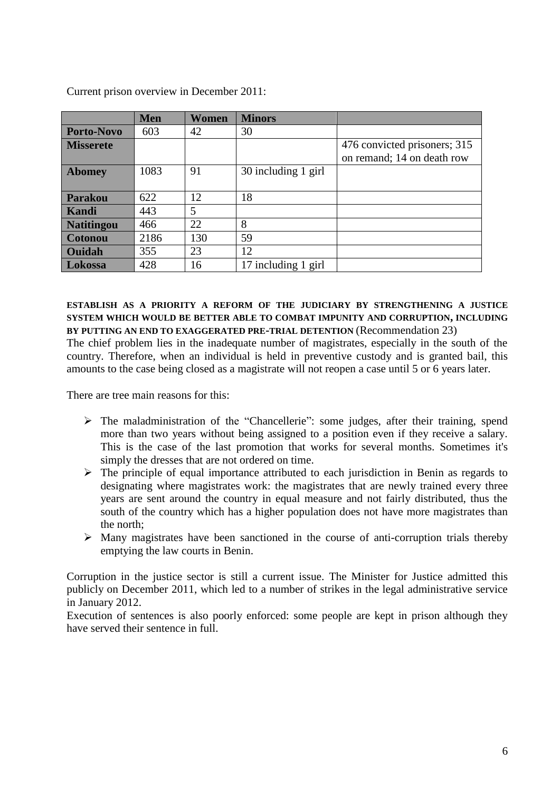|                   | <b>Men</b> | Women | <b>Minors</b>       |                                                            |
|-------------------|------------|-------|---------------------|------------------------------------------------------------|
| <b>Porto-Novo</b> | 603        | 42    | 30                  |                                                            |
| <b>Misserete</b>  |            |       |                     | 476 convicted prisoners; 315<br>on remand; 14 on death row |
| <b>Abomey</b>     | 1083       | 91    | 30 including 1 girl |                                                            |
| <b>Parakou</b>    | 622        | 12    | 18                  |                                                            |
| <b>Kandi</b>      | 443        | 5     |                     |                                                            |
| <b>Natitingou</b> | 466        | 22    | 8                   |                                                            |
| <b>Cotonou</b>    | 2186       | 130   | 59                  |                                                            |
| <b>Ouidah</b>     | 355        | 23    | 12                  |                                                            |
| <b>Lokossa</b>    | 428        | 16    | 17 including 1 girl |                                                            |

Current prison overview in December 2011:

#### **ESTABLISH AS A PRIORITY A REFORM OF THE JUDICIARY BY STRENGTHENING A JUSTICE SYSTEM WHICH WOULD BE BETTER ABLE TO COMBAT IMPUNITY AND CORRUPTION, INCLUDING BY PUTTING AN END TO EXAGGERATED PRE-TRIAL DETENTION** (Recommendation 23)

The chief problem lies in the inadequate number of magistrates, especially in the south of the country. Therefore, when an individual is held in preventive custody and is granted bail, this amounts to the case being closed as a magistrate will not reopen a case until 5 or 6 years later.

There are tree main reasons for this:

- The maladministration of the "Chancellerie": some judges, after their training, spend more than two years without being assigned to a position even if they receive a salary. This is the case of the last promotion that works for several months. Sometimes it's simply the dresses that are not ordered on time.
- $\triangleright$  The principle of equal importance attributed to each jurisdiction in Benin as regards to designating where magistrates work: the magistrates that are newly trained every three years are sent around the country in equal measure and not fairly distributed, thus the south of the country which has a higher population does not have more magistrates than the north;
- $\triangleright$  Many magistrates have been sanctioned in the course of anti-corruption trials thereby emptying the law courts in Benin.

Corruption in the justice sector is still a current issue. The Minister for Justice admitted this publicly on December 2011, which led to a number of strikes in the legal administrative service in January 2012.

Execution of sentences is also poorly enforced: some people are kept in prison although they have served their sentence in full.